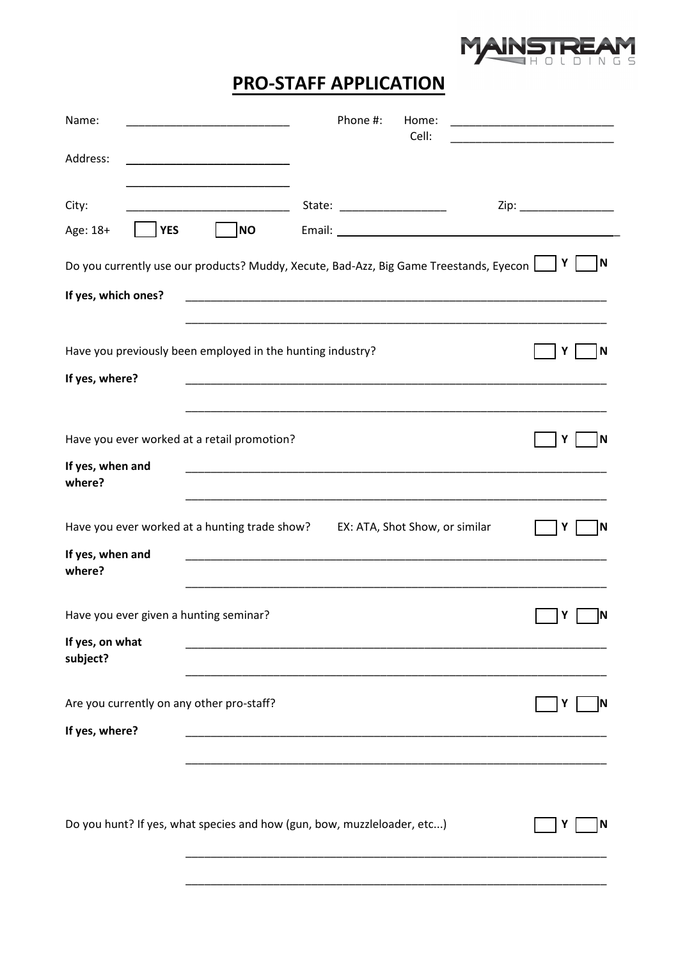

## **PRO-STAFF APPLICATION**

| Name:                                                                                                   | Phone #:<br>Home:<br>Cell:                                                                                           |                       |  |
|---------------------------------------------------------------------------------------------------------|----------------------------------------------------------------------------------------------------------------------|-----------------------|--|
| Address:                                                                                                |                                                                                                                      |                       |  |
| City:                                                                                                   | State: ______________________                                                                                        | Zip: ________________ |  |
| NO<br><b>YES</b><br>Age: 18+                                                                            |                                                                                                                      |                       |  |
| N<br>Υ<br>Do you currently use our products? Muddy, Xecute, Bad-Azz, Big Game Treestands, Eyecon $\Box$ |                                                                                                                      |                       |  |
| If yes, which ones?                                                                                     |                                                                                                                      |                       |  |
|                                                                                                         |                                                                                                                      |                       |  |
| Have you previously been employed in the hunting industry?                                              |                                                                                                                      | ١N<br>Y               |  |
| If yes, where?                                                                                          |                                                                                                                      |                       |  |
|                                                                                                         |                                                                                                                      |                       |  |
| Have you ever worked at a retail promotion?                                                             |                                                                                                                      | ١N<br>Y               |  |
| If yes, when and<br>where?                                                                              | <u> 1989 - Johann John Stoff, deutscher Stoffen und der Stoffen und der Stoffen und der Stoffen und der Stoffen</u>  |                       |  |
| Have you ever worked at a hunting trade show?                                                           | EX: ATA, Shot Show, or similar                                                                                       | ΙN<br>Υ               |  |
| If yes, when and<br>where?                                                                              |                                                                                                                      |                       |  |
| Have you ever given a hunting seminar?                                                                  |                                                                                                                      | Y<br>ΙN               |  |
| If yes, on what<br>subject?                                                                             |                                                                                                                      |                       |  |
| Are you currently on any other pro-staff?                                                               |                                                                                                                      | ΙN<br>Y               |  |
| If yes, where?                                                                                          | <u> 1990 - Johann John Harry Harry Harry Harry Harry Harry Harry Harry Harry Harry Harry Harry Harry Harry Harry</u> |                       |  |
|                                                                                                         |                                                                                                                      |                       |  |
| Do you hunt? If yes, what species and how (gun, bow, muzzleloader, etc)                                 |                                                                                                                      | Y                     |  |
|                                                                                                         |                                                                                                                      |                       |  |
|                                                                                                         |                                                                                                                      |                       |  |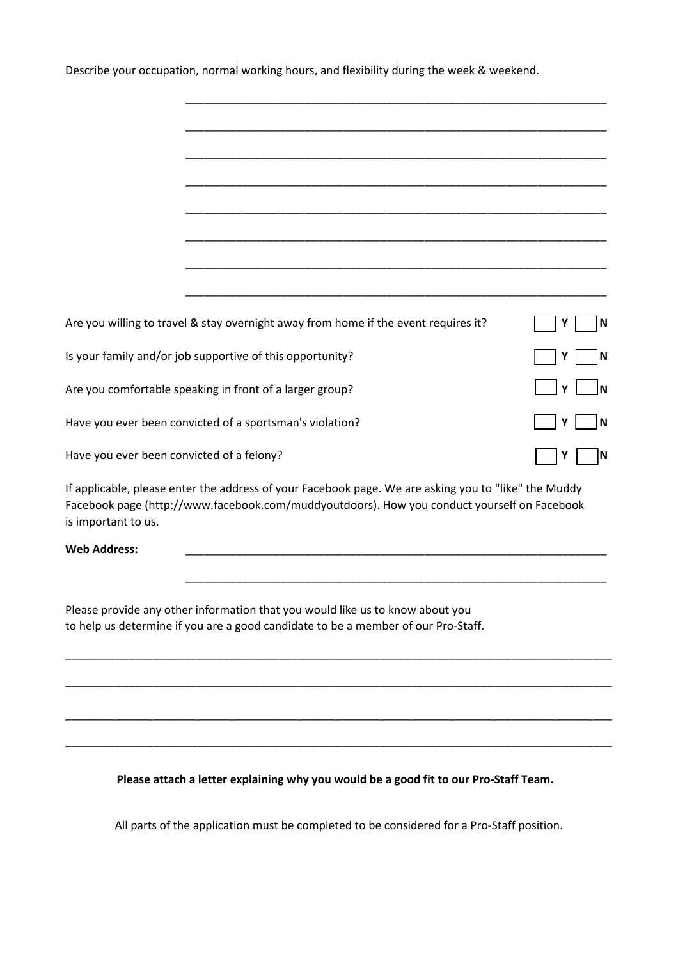Describe your occupation, normal working hours, and flexibility during the week & weekend.

|                                                               | Are you willing to travel & stay overnight away from home if the event requires it?                                                                                                                 |        |
|---------------------------------------------------------------|-----------------------------------------------------------------------------------------------------------------------------------------------------------------------------------------------------|--------|
|                                                               | Is your family and/or job supportive of this opportunity?                                                                                                                                           | N      |
| Y<br>Are you comfortable speaking in front of a larger group? |                                                                                                                                                                                                     |        |
| Have you ever been convicted of a sportsman's violation?      |                                                                                                                                                                                                     | N<br>Υ |
| Have you ever been convicted of a felony?                     |                                                                                                                                                                                                     | ΙN     |
| is important to us.                                           | If applicable, please enter the address of your Facebook page. We are asking you to "like" the Muddy<br>Facebook page (http://www.facebook.com/muddyoutdoors). How you conduct yourself on Facebook |        |
| <b>Web Address:</b>                                           |                                                                                                                                                                                                     |        |
|                                                               |                                                                                                                                                                                                     |        |
|                                                               | Please provide any other information that you would like us to know about you                                                                                                                       |        |
|                                                               | to help us determine if you are a good candidate to be a member of our Pro-Staff.                                                                                                                   |        |
|                                                               |                                                                                                                                                                                                     |        |
|                                                               |                                                                                                                                                                                                     |        |
|                                                               |                                                                                                                                                                                                     |        |

**Please attach a letter explaining why you would be a good fit to our Pro-Staff Team.**

\_\_\_\_\_\_\_\_\_\_\_\_\_\_\_\_\_\_\_\_\_\_\_\_\_\_\_\_\_\_\_\_\_\_\_\_\_\_\_\_\_\_\_\_\_\_\_\_\_\_\_\_\_\_\_\_\_\_\_\_\_\_\_\_\_\_\_\_\_\_\_\_\_\_\_\_\_\_\_\_\_\_\_\_\_\_\_

All parts of the application must be completed to be considered for a Pro-Staff position.